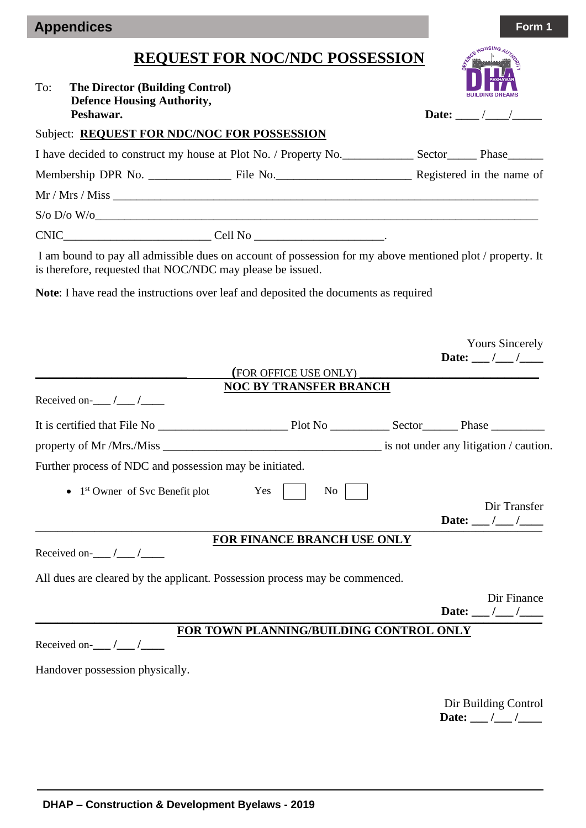| <b>Appendices</b> |  | Form 1 |
|-------------------|--|--------|
|-------------------|--|--------|

## **REQUEST FOR NOC/NDC POSSESSION**

|     |                                                                                                                                                                         | <b>REQUEST FOR NOC/NDC POSSESSION</b>   |                                                  |
|-----|-------------------------------------------------------------------------------------------------------------------------------------------------------------------------|-----------------------------------------|--------------------------------------------------|
| To: | <b>The Director (Building Control)</b><br><b>Defence Housing Authority,</b><br>Peshawar.                                                                                |                                         | Date: $\angle$ /                                 |
|     | Subject: <b>REQUEST FOR NDC/NOC FOR POSSESSION</b>                                                                                                                      |                                         |                                                  |
|     | I have decided to construct my house at Plot No. / Property No. ________________ Sector________ Phase________                                                           |                                         |                                                  |
|     |                                                                                                                                                                         |                                         |                                                  |
|     | Mr / Mrs / Miss                                                                                                                                                         |                                         |                                                  |
|     | $S/O$ $D/O$ $W/O$                                                                                                                                                       |                                         |                                                  |
|     | $CNIC$ $Cell No$ $I =$                                                                                                                                                  |                                         |                                                  |
|     | I am bound to pay all admissible dues on account of possession for my above mentioned plot / property. It<br>is therefore, requested that NOC/NDC may please be issued. |                                         |                                                  |
|     | Note: I have read the instructions over leaf and deposited the documents as required                                                                                    |                                         |                                                  |
|     |                                                                                                                                                                         |                                         |                                                  |
|     |                                                                                                                                                                         |                                         | <b>Yours Sincerely</b><br>Date: ___ /___ /____   |
|     |                                                                                                                                                                         | (FOR OFFICE USE ONLY)                   |                                                  |
|     | Received on- $\_\_\_\_\_\_\_\_\_\_\_\_\_\$                                                                                                                              | <b>NOC BY TRANSFER BRANCH</b>           |                                                  |
|     |                                                                                                                                                                         |                                         |                                                  |
|     |                                                                                                                                                                         |                                         |                                                  |
|     | Further process of NDC and possession may be initiated.                                                                                                                 |                                         |                                                  |
|     | $1st$ Owner of Svc Benefit plot                                                                                                                                         | Yes<br>N <sub>0</sub>                   |                                                  |
|     |                                                                                                                                                                         |                                         | Dir Transfer<br>Date: $\frac{1}{\sqrt{2}}$       |
|     |                                                                                                                                                                         | <b>FOR FINANCE BRANCH USE ONLY</b>      |                                                  |
|     | Received on- $\frac{1}{\sqrt{2}}$                                                                                                                                       |                                         |                                                  |
|     | All dues are cleared by the applicant. Possession process may be commenced.                                                                                             |                                         |                                                  |
|     |                                                                                                                                                                         |                                         | Dir Finance<br>Date: $\_\_\_\_\_\_\_\_\_\_\_\_\$ |
|     |                                                                                                                                                                         | FOR TOWN PLANNING/BUILDING CONTROL ONLY |                                                  |
|     | Received on- $\frac{1}{\sqrt{2}}$                                                                                                                                       |                                         |                                                  |
|     | Handover possession physically.                                                                                                                                         |                                         |                                                  |
|     |                                                                                                                                                                         |                                         | Dir Building Control                             |